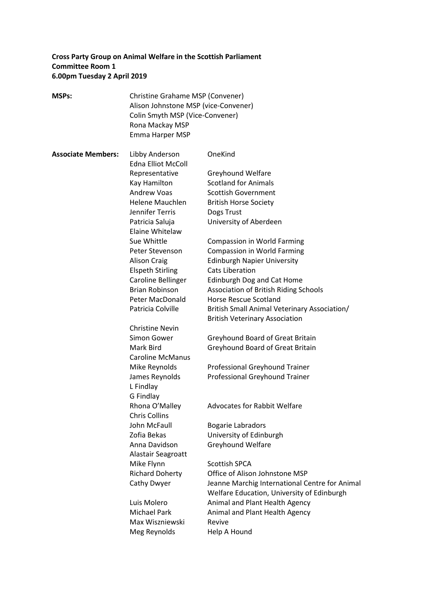# **Cross Party Group on Animal Welfare in the Scottish Parliament Committee Room 1 6.00pm Tuesday 2 April 2019**

| <b>MSPs:</b>              | Christine Grahame MSP (Convener)<br>Alison Johnstone MSP (vice-Convener)<br>Colin Smyth MSP (Vice-Convener)<br>Rona Mackay MSP<br>Emma Harper MSP |                                                                                              |
|---------------------------|---------------------------------------------------------------------------------------------------------------------------------------------------|----------------------------------------------------------------------------------------------|
| <b>Associate Members:</b> | Libby Anderson<br><b>Edna Elliot McColl</b>                                                                                                       | OneKind                                                                                      |
|                           | Representative                                                                                                                                    | <b>Greyhound Welfare</b>                                                                     |
|                           | Kay Hamilton                                                                                                                                      | <b>Scotland for Animals</b>                                                                  |
|                           | Andrew Voas                                                                                                                                       | <b>Scottish Government</b>                                                                   |
|                           | Helene Mauchlen                                                                                                                                   | <b>British Horse Society</b>                                                                 |
|                           | Jennifer Terris                                                                                                                                   | Dogs Trust                                                                                   |
|                           | Patricia Saluja                                                                                                                                   | University of Aberdeen                                                                       |
|                           | Elaine Whitelaw                                                                                                                                   |                                                                                              |
|                           | Sue Whittle                                                                                                                                       | <b>Compassion in World Farming</b>                                                           |
|                           | Peter Stevenson                                                                                                                                   | <b>Compassion in World Farming</b>                                                           |
|                           | <b>Alison Craig</b>                                                                                                                               | <b>Edinburgh Napier University</b>                                                           |
|                           | <b>Elspeth Stirling</b>                                                                                                                           | Cats Liberation                                                                              |
|                           | Caroline Bellinger                                                                                                                                | <b>Edinburgh Dog and Cat Home</b>                                                            |
|                           | <b>Brian Robinson</b>                                                                                                                             | Association of British Riding Schools                                                        |
|                           | <b>Peter MacDonald</b>                                                                                                                            | <b>Horse Rescue Scotland</b>                                                                 |
|                           | Patricia Colville                                                                                                                                 | British Small Animal Veterinary Association/<br><b>British Veterinary Association</b>        |
|                           | <b>Christine Nevin</b>                                                                                                                            |                                                                                              |
|                           | Simon Gower                                                                                                                                       | Greyhound Board of Great Britain                                                             |
|                           | Mark Bird<br><b>Caroline McManus</b>                                                                                                              | Greyhound Board of Great Britain                                                             |
|                           | Mike Reynolds                                                                                                                                     | Professional Greyhound Trainer                                                               |
|                           | James Reynolds<br>L Findlay<br>G Findlay                                                                                                          | Professional Greyhound Trainer                                                               |
|                           | Rhona O'Malley<br><b>Chris Collins</b>                                                                                                            | <b>Advocates for Rabbit Welfare</b>                                                          |
|                           | John McFaull                                                                                                                                      | <b>Bogarie Labradors</b>                                                                     |
|                           | Zofia Bekas                                                                                                                                       | University of Edinburgh                                                                      |
|                           | Anna Davidson<br>Alastair Seagroatt                                                                                                               | Greyhound Welfare                                                                            |
|                           | Mike Flynn                                                                                                                                        | <b>Scottish SPCA</b>                                                                         |
|                           | <b>Richard Doherty</b>                                                                                                                            | Office of Alison Johnstone MSP                                                               |
|                           | Cathy Dwyer                                                                                                                                       | Jeanne Marchig International Centre for Animal<br>Welfare Education, University of Edinburgh |
|                           | Luis Molero                                                                                                                                       | Animal and Plant Health Agency                                                               |
|                           | <b>Michael Park</b>                                                                                                                               | Animal and Plant Health Agency                                                               |
|                           | Max Wiszniewski                                                                                                                                   | Revive                                                                                       |
|                           | Meg Reynolds                                                                                                                                      | Help A Hound                                                                                 |
|                           |                                                                                                                                                   |                                                                                              |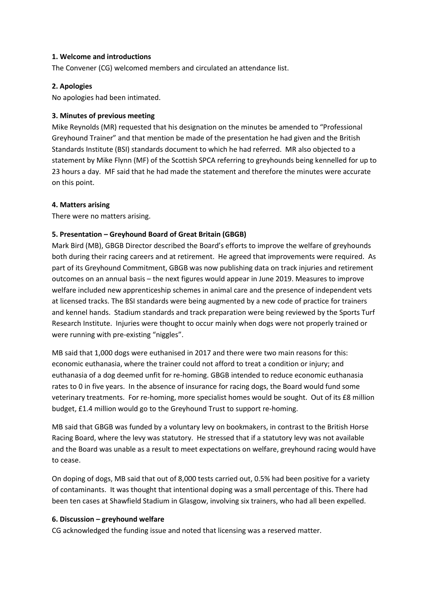### **1. Welcome and introductions**

The Convener (CG) welcomed members and circulated an attendance list.

### **2. Apologies**

No apologies had been intimated.

### **3. Minutes of previous meeting**

Mike Reynolds (MR) requested that his designation on the minutes be amended to "Professional Greyhound Trainer" and that mention be made of the presentation he had given and the British Standards Institute (BSI) standards document to which he had referred. MR also objected to a statement by Mike Flynn (MF) of the Scottish SPCA referring to greyhounds being kennelled for up to 23 hours a day. MF said that he had made the statement and therefore the minutes were accurate on this point.

### **4. Matters arising**

There were no matters arising.

# **5. Presentation – Greyhound Board of Great Britain (GBGB)**

Mark Bird (MB), GBGB Director described the Board's efforts to improve the welfare of greyhounds both during their racing careers and at retirement. He agreed that improvements were required. As part of its Greyhound Commitment, GBGB was now publishing data on track injuries and retirement outcomes on an annual basis – the next figures would appear in June 2019. Measures to improve welfare included new apprenticeship schemes in animal care and the presence of independent vets at licensed tracks. The BSI standards were being augmented by a new code of practice for trainers and kennel hands. Stadium standards and track preparation were being reviewed by the Sports Turf Research Institute. Injuries were thought to occur mainly when dogs were not properly trained or were running with pre-existing "niggles".

MB said that 1,000 dogs were euthanised in 2017 and there were two main reasons for this: economic euthanasia, where the trainer could not afford to treat a condition or injury; and euthanasia of a dog deemed unfit for re-homing. GBGB intended to reduce economic euthanasia rates to 0 in five years. In the absence of insurance for racing dogs, the Board would fund some veterinary treatments. For re-homing, more specialist homes would be sought. Out of its £8 million budget, £1.4 million would go to the Greyhound Trust to support re-homing.

MB said that GBGB was funded by a voluntary levy on bookmakers, in contrast to the British Horse Racing Board, where the levy was statutory. He stressed that if a statutory levy was not available and the Board was unable as a result to meet expectations on welfare, greyhound racing would have to cease.

On doping of dogs, MB said that out of 8,000 tests carried out, 0.5% had been positive for a variety of contaminants. It was thought that intentional doping was a small percentage of this. There had been ten cases at Shawfield Stadium in Glasgow, involving six trainers, who had all been expelled.

#### **6. Discussion – greyhound welfare**

CG acknowledged the funding issue and noted that licensing was a reserved matter.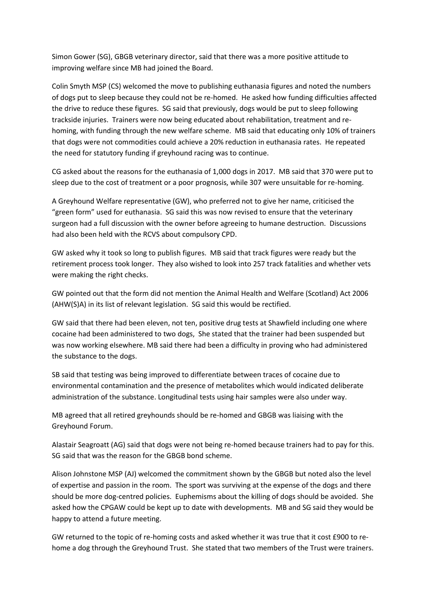Simon Gower (SG), GBGB veterinary director, said that there was a more positive attitude to improving welfare since MB had joined the Board.

Colin Smyth MSP (CS) welcomed the move to publishing euthanasia figures and noted the numbers of dogs put to sleep because they could not be re-homed. He asked how funding difficulties affected the drive to reduce these figures. SG said that previously, dogs would be put to sleep following trackside injuries. Trainers were now being educated about rehabilitation, treatment and rehoming, with funding through the new welfare scheme. MB said that educating only 10% of trainers that dogs were not commodities could achieve a 20% reduction in euthanasia rates. He repeated the need for statutory funding if greyhound racing was to continue.

CG asked about the reasons for the euthanasia of 1,000 dogs in 2017. MB said that 370 were put to sleep due to the cost of treatment or a poor prognosis, while 307 were unsuitable for re-homing.

A Greyhound Welfare representative (GW), who preferred not to give her name, criticised the "green form" used for euthanasia. SG said this was now revised to ensure that the veterinary surgeon had a full discussion with the owner before agreeing to humane destruction. Discussions had also been held with the RCVS about compulsory CPD.

GW asked why it took so long to publish figures. MB said that track figures were ready but the retirement process took longer. They also wished to look into 257 track fatalities and whether vets were making the right checks.

GW pointed out that the form did not mention the Animal Health and Welfare (Scotland) Act 2006 (AHW(S)A) in its list of relevant legislation. SG said this would be rectified.

GW said that there had been eleven, not ten, positive drug tests at Shawfield including one where cocaine had been administered to two dogs, She stated that the trainer had been suspended but was now working elsewhere. MB said there had been a difficulty in proving who had administered the substance to the dogs.

SB said that testing was being improved to differentiate between traces of cocaine due to environmental contamination and the presence of metabolites which would indicated deliberate administration of the substance. Longitudinal tests using hair samples were also under way.

MB agreed that all retired greyhounds should be re-homed and GBGB was liaising with the Greyhound Forum.

Alastair Seagroatt (AG) said that dogs were not being re-homed because trainers had to pay for this. SG said that was the reason for the GBGB bond scheme.

Alison Johnstone MSP (AJ) welcomed the commitment shown by the GBGB but noted also the level of expertise and passion in the room. The sport was surviving at the expense of the dogs and there should be more dog-centred policies. Euphemisms about the killing of dogs should be avoided. She asked how the CPGAW could be kept up to date with developments. MB and SG said they would be happy to attend a future meeting.

GW returned to the topic of re-homing costs and asked whether it was true that it cost £900 to rehome a dog through the Greyhound Trust. She stated that two members of the Trust were trainers.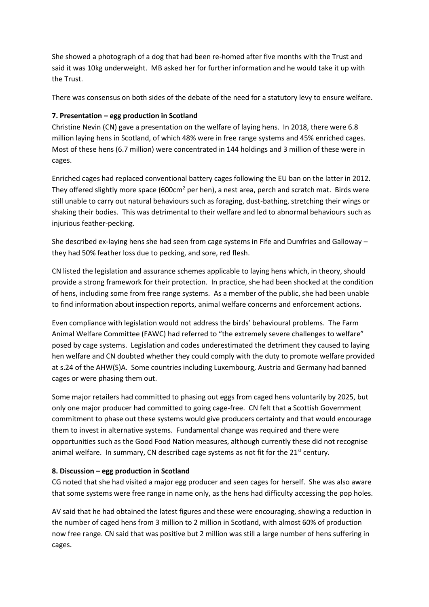She showed a photograph of a dog that had been re-homed after five months with the Trust and said it was 10kg underweight. MB asked her for further information and he would take it up with the Trust.

There was consensus on both sides of the debate of the need for a statutory levy to ensure welfare.

# **7. Presentation – egg production in Scotland**

Christine Nevin (CN) gave a presentation on the welfare of laying hens. In 2018, there were 6.8 million laying hens in Scotland, of which 48% were in free range systems and 45% enriched cages. Most of these hens (6.7 million) were concentrated in 144 holdings and 3 million of these were in cages.

Enriched cages had replaced conventional battery cages following the EU ban on the latter in 2012. They offered slightly more space (600 $cm<sup>2</sup>$  per hen), a nest area, perch and scratch mat. Birds were still unable to carry out natural behaviours such as foraging, dust-bathing, stretching their wings or shaking their bodies. This was detrimental to their welfare and led to abnormal behaviours such as injurious feather-pecking.

She described ex-laying hens she had seen from cage systems in Fife and Dumfries and Galloway – they had 50% feather loss due to pecking, and sore, red flesh.

CN listed the legislation and assurance schemes applicable to laying hens which, in theory, should provide a strong framework for their protection. In practice, she had been shocked at the condition of hens, including some from free range systems. As a member of the public, she had been unable to find information about inspection reports, animal welfare concerns and enforcement actions.

Even compliance with legislation would not address the birds' behavioural problems. The Farm Animal Welfare Committee (FAWC) had referred to "the extremely severe challenges to welfare" posed by cage systems. Legislation and codes underestimated the detriment they caused to laying hen welfare and CN doubted whether they could comply with the duty to promote welfare provided at s.24 of the AHW(S)A. Some countries including Luxembourg, Austria and Germany had banned cages or were phasing them out.

Some major retailers had committed to phasing out eggs from caged hens voluntarily by 2025, but only one major producer had committed to going cage-free. CN felt that a Scottish Government commitment to phase out these systems would give producers certainty and that would encourage them to invest in alternative systems. Fundamental change was required and there were opportunities such as the Good Food Nation measures, although currently these did not recognise animal welfare. In summary, CN described cage systems as not fit for the  $21<sup>st</sup>$  century.

# **8. Discussion – egg production in Scotland**

CG noted that she had visited a major egg producer and seen cages for herself. She was also aware that some systems were free range in name only, as the hens had difficulty accessing the pop holes.

AV said that he had obtained the latest figures and these were encouraging, showing a reduction in the number of caged hens from 3 million to 2 million in Scotland, with almost 60% of production now free range. CN said that was positive but 2 million was still a large number of hens suffering in cages.